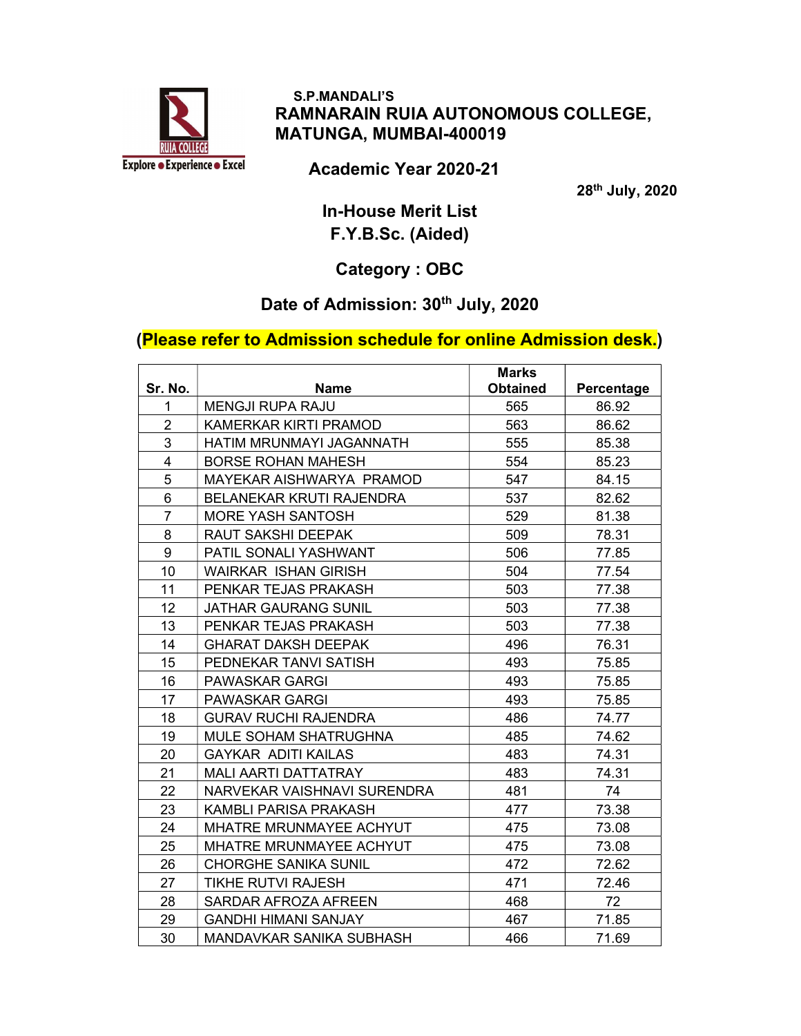

## S.P.MANDALI'S RAMNARAIN RUIA AUTONOMOUS COLLEGE, MATUNGA, MUMBAI-400019

Academic Year 2020-21

28th July, 2020

In-House Merit List F.Y.B.Sc. (Aided)

## Category : OBC

## Date of Admission: 30<sup>th</sup> July, 2020

## (Please refer to Admission schedule for online Admission desk.)

| Sr. No.         | Name                           | <b>Marks</b><br><b>Obtained</b> | Percentage |
|-----------------|--------------------------------|---------------------------------|------------|
| 1               | <b>MENGJI RUPA RAJU</b>        | 565                             | 86.92      |
| $\overline{2}$  | KAMERKAR KIRTI PRAMOD          | 563                             | 86.62      |
| 3               | HATIM MRUNMAYI JAGANNATH       | 555                             | 85.38      |
| 4               | <b>BORSE ROHAN MAHESH</b>      | 554                             | 85.23      |
| 5               | MAYEKAR AISHWARYA PRAMOD       | 547                             | 84.15      |
| 6               |                                | 537                             |            |
| $\overline{7}$  | BELANEKAR KRUTI RAJENDRA       |                                 | 82.62      |
|                 | <b>MORE YASH SANTOSH</b>       | 529                             | 81.38      |
| 8               | RAUT SAKSHI DEEPAK             | 509                             | 78.31      |
| 9               | PATIL SONALI YASHWANT          | 506                             | 77.85      |
| 10              | <b>WAIRKAR ISHAN GIRISH</b>    | 504                             | 77.54      |
| 11              | PENKAR TEJAS PRAKASH           | 503                             | 77.38      |
| 12 <sup>2</sup> | <b>JATHAR GAURANG SUNIL</b>    | 503                             | 77.38      |
| 13              | PENKAR TEJAS PRAKASH           | 503                             | 77.38      |
| 14              | <b>GHARAT DAKSH DEEPAK</b>     | 496                             | 76.31      |
| 15              | PEDNEKAR TANVI SATISH          | 493                             | 75.85      |
| 16              | <b>PAWASKAR GARGI</b>          | 493                             | 75.85      |
| 17              | <b>PAWASKAR GARGI</b>          | 493                             | 75.85      |
| 18              | <b>GURAV RUCHI RAJENDRA</b>    | 486                             | 74.77      |
| 19              | MULE SOHAM SHATRUGHNA          | 485                             | 74.62      |
| 20              | <b>GAYKAR ADITI KAILAS</b>     | 483                             | 74.31      |
| 21              | <b>MALI AARTI DATTATRAY</b>    | 483                             | 74.31      |
| 22              | NARVEKAR VAISHNAVI SURENDRA    | 481                             | 74         |
| 23              | KAMBLI PARISA PRAKASH          | 477                             | 73.38      |
| 24              | <b>MHATRE MRUNMAYEE ACHYUT</b> | 475                             | 73.08      |
| 25              | <b>MHATRE MRUNMAYEE ACHYUT</b> | 475                             | 73.08      |
| 26              | <b>CHORGHE SANIKA SUNIL</b>    | 472                             | 72.62      |
| 27              | <b>TIKHE RUTVI RAJESH</b>      | 471                             | 72.46      |
| 28              | SARDAR AFROZA AFREEN           | 468                             | 72         |
| 29              | <b>GANDHI HIMANI SANJAY</b>    | 467                             | 71.85      |
| 30              | MANDAVKAR SANIKA SUBHASH       | 466                             | 71.69      |